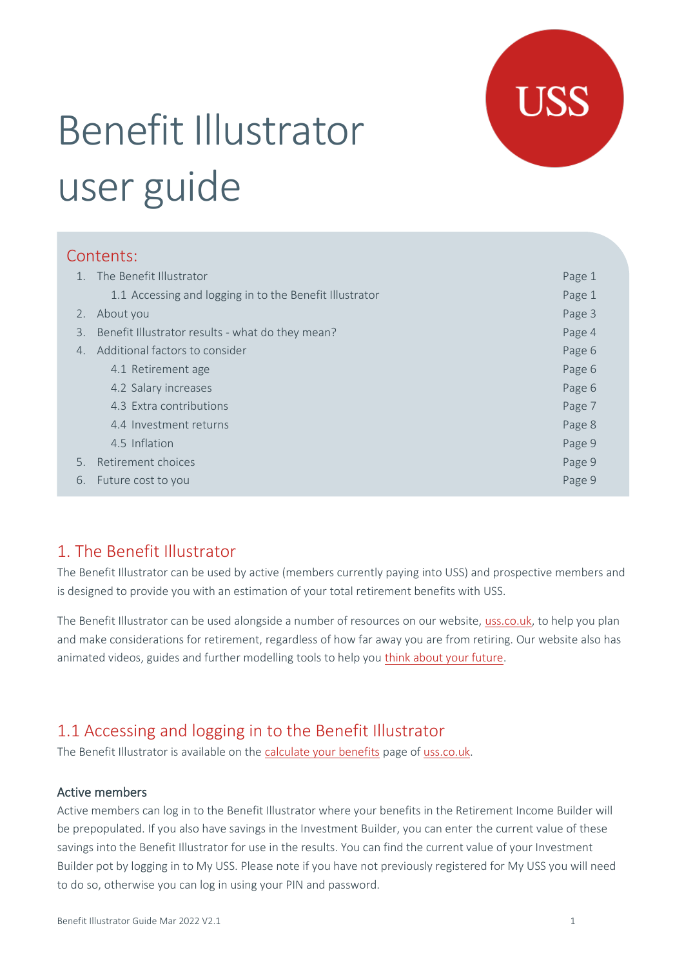

# Benefit Illustrator user guide

## Contents:

|    | The Benefit Illustrator                                 | Page 1 |
|----|---------------------------------------------------------|--------|
|    | 1.1 Accessing and logging in to the Benefit Illustrator | Page 1 |
| 2. | About you                                               | Page 3 |
| 3. | Benefit Illustrator results - what do they mean?        | Page 4 |
| 4. | Additional factors to consider                          | Page 6 |
|    | 4.1 Retirement age                                      | Page 6 |
|    | 4.2 Salary increases                                    | Page 6 |
|    | 4.3 Extra contributions                                 | Page 7 |
|    | 4.4 Investment returns                                  | Page 8 |
|    | 4.5 Inflation                                           | Page 9 |
| 5. | Retirement choices                                      | Page 9 |
| 6. | Future cost to you                                      | Page 9 |

# 1. The Benefit Illustrator

The Benefit Illustrator can be used by active (members currently paying into USS) and prospective members and is designed to provide you with an estimation of your total retirement benefits with USS.

The Benefit Illustrator can be used alongside a number of resources on our website, [uss.co.uk,](https://www.uss.co.uk/) to help you plan and make considerations for retirement, regardless of how far away you are from retiring. Our website also has animated videos, guides and further modelling tools to help yo[u think about your future.](https://www.uss.co.uk/for-members/thinking-about-your-future)

# 1.1 Accessing and logging in to the Benefit Illustrator

The Benefit Illustrator is available on the [calculate your benefits](https://www.uss.co.uk/for-members/calculate-your-benefits) page o[f uss.co.uk.](https://www.uss.co.uk/)

#### Active members

Active members can log in to the Benefit Illustrator where your benefits in the Retirement Income Builder will be prepopulated. If you also have savings in the Investment Builder, you can enter the current value of these savings into the Benefit Illustrator for use in the results. You can find the current value of your Investment Builder pot by logging in to My USS. Please note if you have not previously registered for My USS you will need to do so, otherwise you can log in using your PIN and password.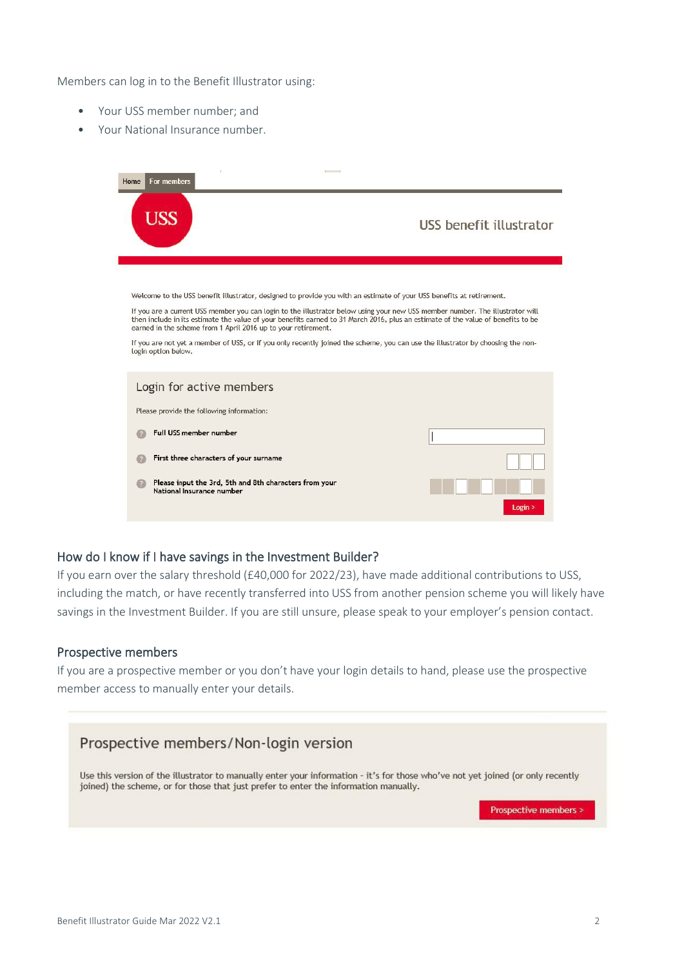Members can log in to the Benefit Illustrator using:

- Your USS member number; and
- Your National Insurance number.

| For members<br>Home                                                                 | <b><i><u>Property Communication</u></i></b>                                                                                                                                                                                                                       |
|-------------------------------------------------------------------------------------|-------------------------------------------------------------------------------------------------------------------------------------------------------------------------------------------------------------------------------------------------------------------|
| USS                                                                                 | USS benefit illustrator                                                                                                                                                                                                                                           |
|                                                                                     | Welcome to the USS benefit illustrator, designed to provide you with an estimate of your USS benefits at retirement.                                                                                                                                              |
| earned in the scheme from 1 April 2016 up to your retirement.                       | If you are a current USS member you can login to the illustrator below using your new USS member number. The illustrator will<br>then include in its estimate the value of your benefits earned to 31 March 2016, plus an estimate of the value of benefits to be |
| login option below.                                                                 | If you are not yet a member of USS, or if you only recently joined the scheme, you can use the illustrator by choosing the non-                                                                                                                                   |
| Login for active members                                                            |                                                                                                                                                                                                                                                                   |
| Please provide the following information:                                           |                                                                                                                                                                                                                                                                   |
| Full USS member number                                                              |                                                                                                                                                                                                                                                                   |
| First three characters of your surname                                              |                                                                                                                                                                                                                                                                   |
| Please input the 3rd, 5th and 8th characters from your<br>National Insurance number |                                                                                                                                                                                                                                                                   |
|                                                                                     | Login >                                                                                                                                                                                                                                                           |

#### How do I know if I have savings in the Investment Builder?

If you earn over the salary threshold (£40,000 for 2022/23), have made additional contributions to USS, including the match, or have recently transferred into USS from another pension scheme you will likely have savings in the Investment Builder. If you are still unsure, please speak to your employer's pension contact.

#### Prospective members

If you are a prospective member or you don't have your login details to hand, please use the prospective member access to manually enter your details.

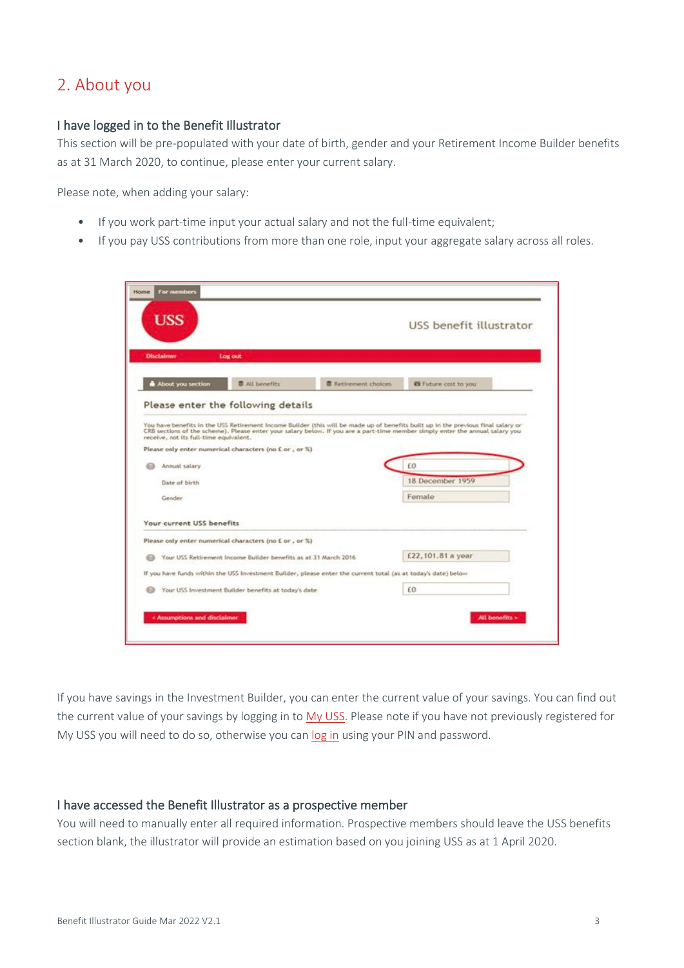# 2. About you

#### I have logged in to the Benefit Illustrator

This section will be pre-populated with your date of birth, gender and your Retirement Income Builder benefits as at 31 March 2020, to continue, please enter your current salary.

Please note, when adding your salary:

- If you work part-time input your actual salary and not the full-time equivalent;
- If you pay USS contributions from more than one role, input your aggregate salary across all roles.

|                                        |                                                                 |                                                                                                                | USS benefit illustrator                                                                                                                                                                                                                                            |  |
|----------------------------------------|-----------------------------------------------------------------|----------------------------------------------------------------------------------------------------------------|--------------------------------------------------------------------------------------------------------------------------------------------------------------------------------------------------------------------------------------------------------------------|--|
| <b>Disclaimer</b>                      | Log out                                                         |                                                                                                                |                                                                                                                                                                                                                                                                    |  |
| About you section                      | <b>B</b> All benefits                                           | 图 Retirement choices                                                                                           | El Future cost to you                                                                                                                                                                                                                                              |  |
|                                        | Please enter the following details                              |                                                                                                                |                                                                                                                                                                                                                                                                    |  |
| receive, not its full-time equivalent. | Please only enter numerical characters (no £ or, or %)          |                                                                                                                | You have benefits in the USS Retirement Income Builder (this will be made up of benefits built up in the previous final salary or<br>CRB sections of the scheme). Please enter your salary below. If you are a part-time member simply enter the annual salary you |  |
| Annual salary                          |                                                                 |                                                                                                                | 60                                                                                                                                                                                                                                                                 |  |
| Date of birth                          |                                                                 |                                                                                                                | 18 December 1959                                                                                                                                                                                                                                                   |  |
|                                        |                                                                 |                                                                                                                | Female                                                                                                                                                                                                                                                             |  |
| Gender                                 |                                                                 |                                                                                                                |                                                                                                                                                                                                                                                                    |  |
|                                        |                                                                 |                                                                                                                |                                                                                                                                                                                                                                                                    |  |
| Your current USS benefits              | Please only enter numerical characters (no £ or, or %)          |                                                                                                                |                                                                                                                                                                                                                                                                    |  |
|                                        | Your USS Retirement Income Builder benefits as at 31 March 2016 |                                                                                                                | £22,101.81 a year                                                                                                                                                                                                                                                  |  |
|                                        |                                                                 | If you have funds within the USS Investment Builder, please enter the current total (as at today's date) below |                                                                                                                                                                                                                                                                    |  |
|                                        | Your USS Investment Builder benefits at today's date            |                                                                                                                | £0                                                                                                                                                                                                                                                                 |  |

If you have savings in the Investment Builder, you can enter the current value of your savings. You can find out the current value of your savings by logging in to [My USS.](https://www.uss.co.uk/register-for-my-uss) Please note if you have not previously registered for My USS you will need to do so, otherwise you can [log in](https://www.uss.co.uk/login) using your PIN and password.

#### I have accessed the Benefit Illustrator as a prospective member

You will need to manually enter all required information. Prospective members should leave the USS benefits section blank, the illustrator will provide an estimation based on you joining USS as at 1 April 2020.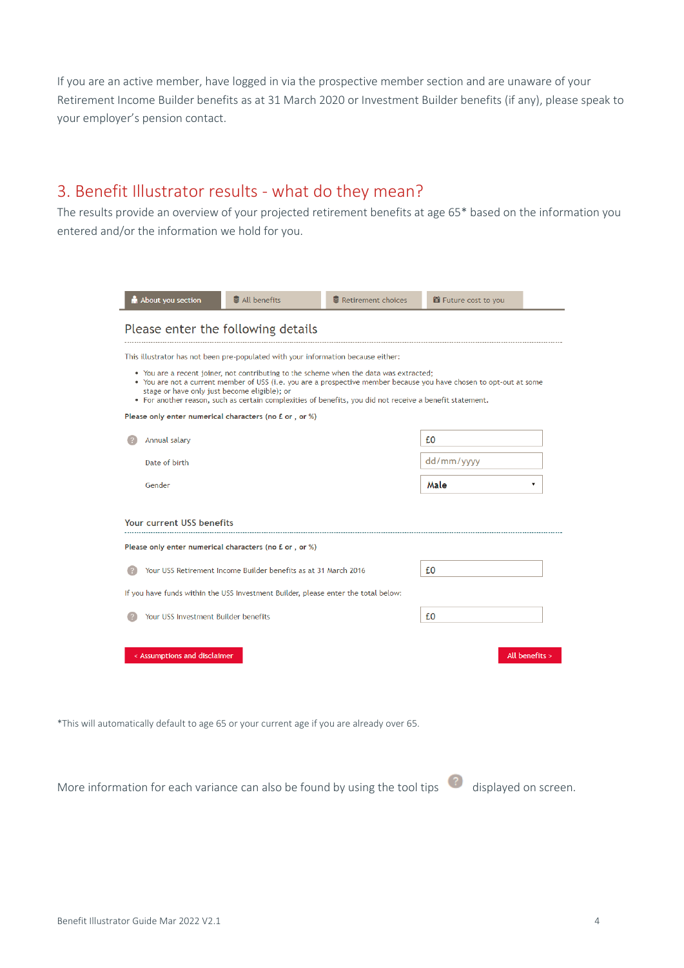If you are an active member, have logged in via the prospective member section and are unaware of your Retirement Income Builder benefits as at 31 March 2020 or Investment Builder benefits (if any), please speak to your employer's pension contact.

# 3. Benefit Illustrator results - what do they mean?

The results provide an overview of your projected retirement benefits at age 65\* based on the information you entered and/or the information we hold for you.

|                                              | Please enter the following details                                                                                                                                                                 |                                                                                                                     |
|----------------------------------------------|----------------------------------------------------------------------------------------------------------------------------------------------------------------------------------------------------|---------------------------------------------------------------------------------------------------------------------|
|                                              | This illustrator has not been pre-populated with your information because either:                                                                                                                  |                                                                                                                     |
| stage or have only just become eligible); or | • You are a recent joiner, not contributing to the scheme when the data was extracted;<br>• For another reason, such as certain complexities of benefits, you did not receive a benefit statement. | • You are not a current member of USS (i.e. you are a prospective member because you have chosen to opt-out at some |
|                                              | Please only enter numerical characters (no £ or, or %)                                                                                                                                             |                                                                                                                     |
| Annual salary                                |                                                                                                                                                                                                    | £0                                                                                                                  |
| Date of birth                                |                                                                                                                                                                                                    | dd/mm/yyyy                                                                                                          |
| Gender                                       |                                                                                                                                                                                                    | Male<br>v                                                                                                           |
|                                              |                                                                                                                                                                                                    |                                                                                                                     |
| <b>Your current USS benefits</b>             | Please only enter numerical characters (no £ or, or %)<br>Your USS Retirement Income Builder benefits as at 31 March 2016                                                                          | £0                                                                                                                  |
|                                              | If you have funds within the USS Investment Builder, please enter the total below:                                                                                                                 |                                                                                                                     |

\*This will automatically default to age 65 or your current age if you are already over 65.

More information for each variance can also be found by using the tool tips  $\overline{\mathscr{C}}$  displayed on screen.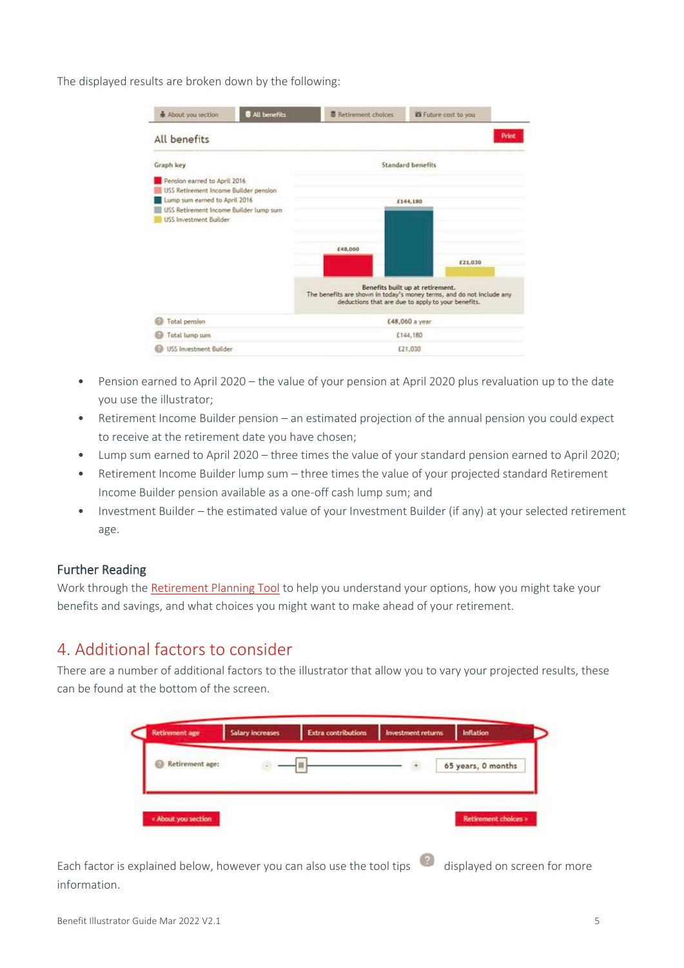The displayed results are broken down by the following:

| All benefits<br>About you section                                                                                                                                                 | <b>B</b> Retirement choices | <b>El Future cost to you</b>                                                                                                                                                           |
|-----------------------------------------------------------------------------------------------------------------------------------------------------------------------------------|-----------------------------|----------------------------------------------------------------------------------------------------------------------------------------------------------------------------------------|
| All benefits                                                                                                                                                                      |                             | Print                                                                                                                                                                                  |
| Graph key                                                                                                                                                                         |                             | <b>Standard benefits</b>                                                                                                                                                               |
| Pension earned to April 2016<br>USS Retirement Income Builder pension<br>Lump sum earned to April 2016<br>USS Retirement Income Builder lump sum<br><b>USS</b> Investment Builder | £48,060                     | £144,180<br>£21,030<br>Benefits built up at retirement.<br>The benefits are shown in today's money terms, and do not include any<br>deductions that are due to apply to your benefits. |
| Total pension                                                                                                                                                                     |                             | £48,060 a year                                                                                                                                                                         |
| Total lump sum                                                                                                                                                                    |                             | £144,180                                                                                                                                                                               |
| <b>USS Investment Builder</b>                                                                                                                                                     |                             | £21,030                                                                                                                                                                                |

- Pension earned to April 2020 the value of your pension at April 2020 plus revaluation up to the date you use the illustrator;
- Retirement Income Builder pension an estimated projection of the annual pension you could expect to receive at the retirement date you have chosen;
- Lump sum earned to April 2020 three times the value of your standard pension earned to April 2020;
- Retirement Income Builder lump sum three times the value of your projected standard Retirement Income Builder pension available as a one-off cash lump sum; and
- Investment Builder the estimated value of your Investment Builder (if any) at your selected retirement age.

#### Further Reading

Work through the [Retirement Planning Tool](https://www.uss.co.uk/for-members/thinking-about-your-future/retirement-planning-tool) to help you understand your options, how you might take your benefits and savings, and what choices you might want to make ahead of your retirement.

### 4. Additional factors to consider

There are a number of additional factors to the illustrator that allow you to vary your projected results, these can be found at the bottom of the screen.



Each factor is explained below, however you can also use the tool tips displayed on screen for more information.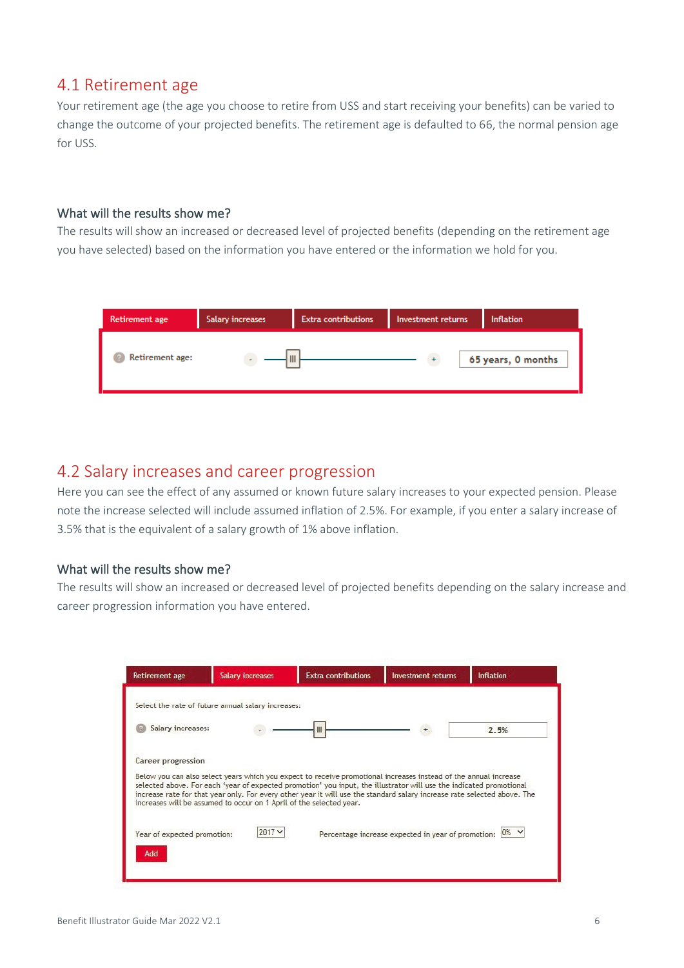# 4.1 Retirement age

Your retirement age (the age you choose to retire from USS and start receiving your benefits) can be varied to change the outcome of your projected benefits. The retirement age is defaulted to 66, the normal pension age for USS.

#### What will the results show me?

The results will show an increased or decreased level of projected benefits (depending on the retirement age you have selected) based on the information you have entered or the information we hold for you.



## 4.2 Salary increases and career progression

Here you can see the effect of any assumed or known future salary increases to your expected pension. Please note the increase selected will include assumed inflation of 2.5%. For example, if you enter a salary increase of 3.5% that is the equivalent of a salary growth of 1% above inflation.

#### What will the results show me?

The results will show an increased or decreased level of projected benefits depending on the salary increase and career progression information you have entered.

| <b>Retirement age</b>       | <b>Salary increases</b>                                             | <b>Extra contributions</b>                                                                                                                                                                                                                                                                                                                                          | <b>Investment returns</b>                          | <b>Inflation</b> |
|-----------------------------|---------------------------------------------------------------------|---------------------------------------------------------------------------------------------------------------------------------------------------------------------------------------------------------------------------------------------------------------------------------------------------------------------------------------------------------------------|----------------------------------------------------|------------------|
|                             | Select the rate of future annual salary increases:                  |                                                                                                                                                                                                                                                                                                                                                                     |                                                    |                  |
| Salary increases:           |                                                                     |                                                                                                                                                                                                                                                                                                                                                                     |                                                    | 2.5%             |
| Career progression          |                                                                     |                                                                                                                                                                                                                                                                                                                                                                     |                                                    |                  |
|                             | increases will be assumed to occur on 1 April of the selected year. | Below you can also select years which you expect to receive promotional increases instead of the annual increase<br>selected above. For each 'year of expected promotion' you input, the illustrator will use the indicated promotional<br>increase rate for that year only. For every other year it will use the standard salary increase rate selected above. The |                                                    |                  |
| Year of expected promotion: | $2017 -$                                                            |                                                                                                                                                                                                                                                                                                                                                                     | Percentage increase expected in year of promotion: | 10%              |
| Add                         |                                                                     |                                                                                                                                                                                                                                                                                                                                                                     |                                                    |                  |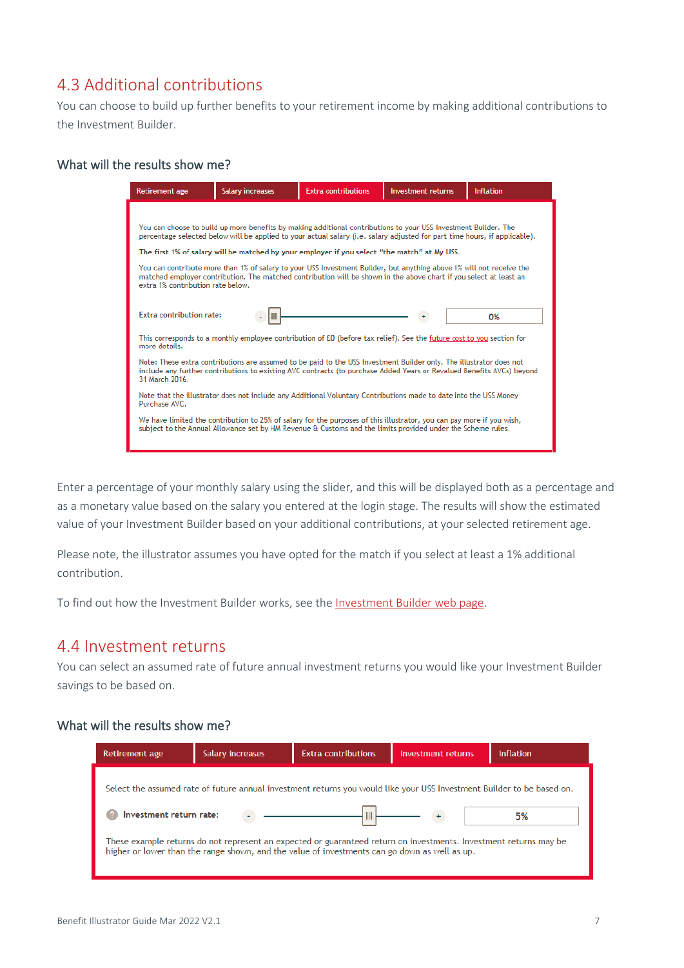# 4.3 Additional contributions

You can choose to build up further benefits to your retirement income by making additional contributions to the Investment Builder.

#### What will the results show me?

| Retirement age                    | <b>Salary increases</b> | <b>Extra contributions</b>                                                                                                                                                                                                                    | <b>Investment returns</b> | <b>Inflation</b> |
|-----------------------------------|-------------------------|-----------------------------------------------------------------------------------------------------------------------------------------------------------------------------------------------------------------------------------------------|---------------------------|------------------|
|                                   |                         |                                                                                                                                                                                                                                               |                           |                  |
|                                   |                         | You can choose to build up more benefits by making additional contributions to your USS Investment Builder. The<br>percentage selected below will be applied to your actual salary (i.e. salary adjusted for part time hours, if applicable). |                           |                  |
|                                   |                         | The first 1% of salary will be matched by your employer if you select "the match" at My USS.                                                                                                                                                  |                           |                  |
| extra 1% contribution rate below. |                         | You can contribute more than 1% of salary to your USS Investment Builder, but anything above 1% will not receive the<br>matched emplover contribution. The matched contribution will be shown in the above chart if you select at least an    |                           |                  |
| Extra contribution rate:          |                         |                                                                                                                                                                                                                                               |                           | 0%               |
| more details.                     |                         | This corresponds to a monthly employee contribution of £0 (before tax relief). See the future cost to you section for                                                                                                                         |                           |                  |
| 31 March 2016.                    |                         | Note: These extra contributions are assumed to be paid to the USS Investment Builder only. The illustrator does not<br>include any further contributions to existing AVC contracts (to purchase Added Years or Revalued Benefits AVCs) beyond |                           |                  |
| Purchase AVC.                     |                         | Note that the illustrator does not include any Additional Voluntary Contributions made to date into the USS Money                                                                                                                             |                           |                  |
|                                   |                         | We have limited the contribution to 25% of salary for the purposes of this illustrator, you can pay more if you wish,<br>subject to the Annual Allowance set by HM Revenue & Customs and the limits provided under the Scheme rules.          |                           |                  |
|                                   |                         |                                                                                                                                                                                                                                               |                           |                  |

Enter a percentage of your monthly salary using the slider, and this will be displayed both as a percentage and as a monetary value based on the salary you entered at the login stage. The results will show the estimated value of your Investment Builder based on your additional contributions, at your selected retirement age.

Please note, the illustrator assumes you have opted for the match if you select at least a 1% additional contribution.

To find out how the Investment Builder works, see the [Investment Builder web page.](https://www.uss.co.uk/for-members/your-pension-explained/investment-builder)

## 4.4 Investment returns

You can select an assumed rate of future annual investment returns you would like your Investment Builder savings to be based on.

#### What will the results show me?

| Retirement age                                                                                                                                                                                                                                      | <b>Salary increases</b> | <b>Extra contributions</b>                                                                                             | <b>Investment returns</b> | <b>Inflation</b> |  |
|-----------------------------------------------------------------------------------------------------------------------------------------------------------------------------------------------------------------------------------------------------|-------------------------|------------------------------------------------------------------------------------------------------------------------|---------------------------|------------------|--|
|                                                                                                                                                                                                                                                     |                         | Select the assumed rate of future annual investment returns you would like your USS Investment Builder to be based on. |                           |                  |  |
| Investment return rate:<br>5%<br>These example returns do not represent an expected or guaranteed return on investments. Investment returns may be<br>higher or lower than the range shown, and the value of investments can go down as well as up. |                         |                                                                                                                        |                           |                  |  |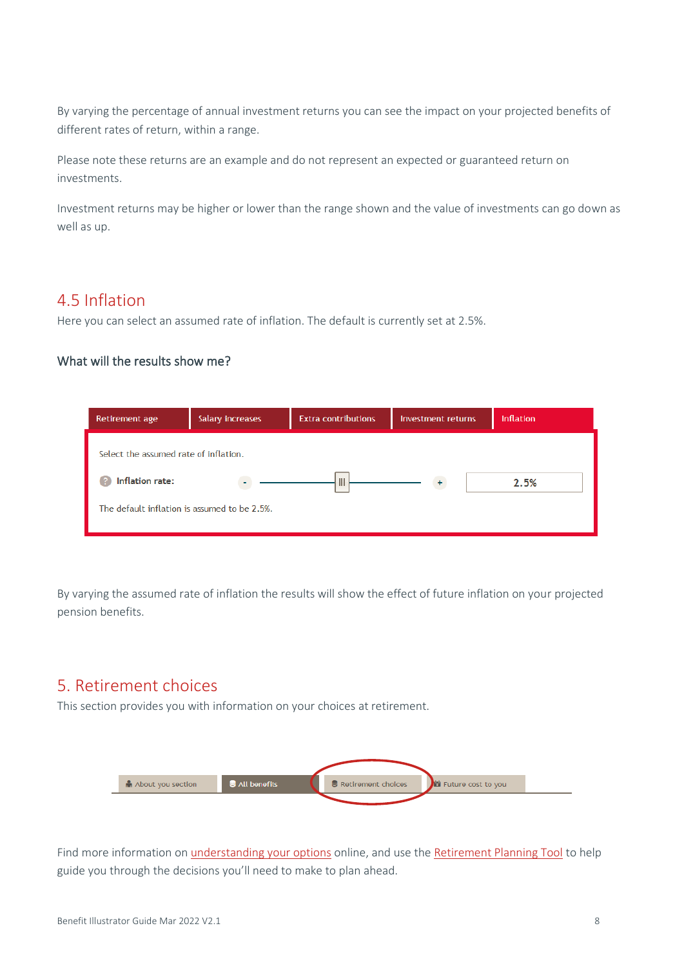By varying the percentage of annual investment returns you can see the impact on your projected benefits of different rates of return, within a range.

Please note these returns are an example and do not represent an expected or guaranteed return on investments.

Investment returns may be higher or lower than the range shown and the value of investments can go down as well as up.

# 4.5 Inflation

Here you can select an assumed rate of inflation. The default is currently set at 2.5%.

#### What will the results show me?

| Retirement age                                                                                           | Salary increases | <b>Extra contributions</b> | Investment returns | <b>Inflation</b> |
|----------------------------------------------------------------------------------------------------------|------------------|----------------------------|--------------------|------------------|
| Select the assumed rate of inflation.<br>Inflation rate:<br>The default inflation is assumed to be 2.5%. |                  | $\mathbb{I}$               |                    | 2.5%             |

By varying the assumed rate of inflation the results will show the effect of future inflation on your projected pension benefits.

## 5. Retirement choices

This section provides you with information on your choices at retirement.



Find more information on [understanding your options](https://www.uss.co.uk/for-members/thinking-about-your-future/understanding-your-options) online, and use th[e Retirement Planning Tool](https://www.uss.co.uk/for-members/thinking-about-your-future/retirement-planning-tool) to help guide you through the decisions you'll need to make to plan ahead.